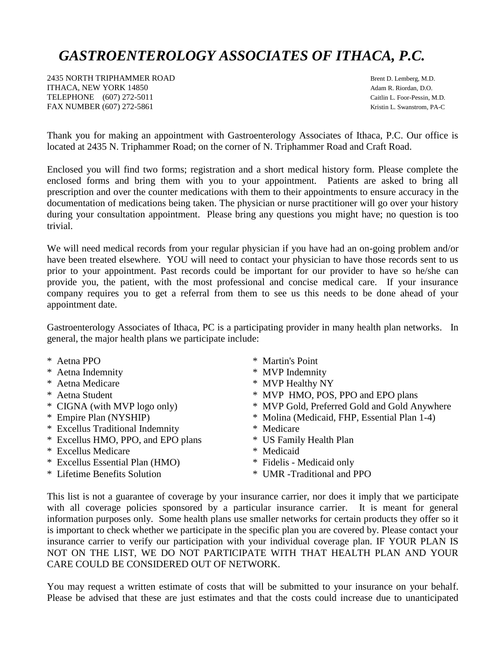## *GASTROENTEROLOGY ASSOCIATES OF ITHACA, P.C.*

2435 NORTH TRIPHAMMER ROAD BROWN BROWN BROWN BROWN BROWN BROWN BROWN BROWN BROWN BROWN BROWN BROWN BROWN BROWN ITHACA, NEW YORK 14850 **Adam R. Riordan, D.O.** Adam R. Riordan, D.O. TELEPHONE (607) 272-5011 Caitlin L. Foor-Pessin, M.D. FAX NUMBER (607) 272-5861 Kristin L. Swanstrom, PA-C

Thank you for making an appointment with Gastroenterology Associates of Ithaca, P.C. Our office is located at 2435 N. Triphammer Road; on the corner of N. Triphammer Road and Craft Road.

Enclosed you will find two forms; registration and a short medical history form. Please complete the enclosed forms and bring them with you to your appointment. Patients are asked to bring all prescription and over the counter medications with them to their appointments to ensure accuracy in the documentation of medications being taken. The physician or nurse practitioner will go over your history during your consultation appointment. Please bring any questions you might have; no question is too trivial.

We will need medical records from your regular physician if you have had an on-going problem and/or have been treated elsewhere. YOU will need to contact your physician to have those records sent to us prior to your appointment. Past records could be important for our provider to have so he/she can provide you, the patient, with the most professional and concise medical care. If your insurance company requires you to get a referral from them to see us this needs to be done ahead of your appointment date.

Gastroenterology Associates of Ithaca, PC is a participating provider in many health plan networks. In general, the major health plans we participate include:

| * Aetna PPO                        | * Martin's Point                             |
|------------------------------------|----------------------------------------------|
| * Aetna Indemnity                  | * MVP Indemnity                              |
| * Aetna Medicare                   | * MVP Healthy NY                             |
| * Aetna Student                    | * MVP HMO, POS, PPO and EPO plans            |
| * CIGNA (with MVP logo only)       | * MVP Gold, Preferred Gold and Gold Anywhere |
| * Empire Plan (NYSHIP)             | * Molina (Medicaid, FHP, Essential Plan 1-4) |
| * Excellus Traditional Indemnity   | * Medicare                                   |
| * Excellus HMO, PPO, and EPO plans | * US Family Health Plan                      |
| * Excellus Medicare                | * Medicaid                                   |
| * Excellus Essential Plan (HMO)    | * Fidelis - Medicaid only                    |
| * Lifetime Benefits Solution       | * UMR -Traditional and PPO                   |

This list is not a guarantee of coverage by your insurance carrier, nor does it imply that we participate with all coverage policies sponsored by a particular insurance carrier. It is meant for general information purposes only. Some health plans use smaller networks for certain products they offer so it is important to check whether we participate in the specific plan you are covered by. Please contact your insurance carrier to verify our participation with your individual coverage plan. IF YOUR PLAN IS NOT ON THE LIST, WE DO NOT PARTICIPATE WITH THAT HEALTH PLAN AND YOUR CARE COULD BE CONSIDERED OUT OF NETWORK.

You may request a written estimate of costs that will be submitted to your insurance on your behalf. Please be advised that these are just estimates and that the costs could increase due to unanticipated